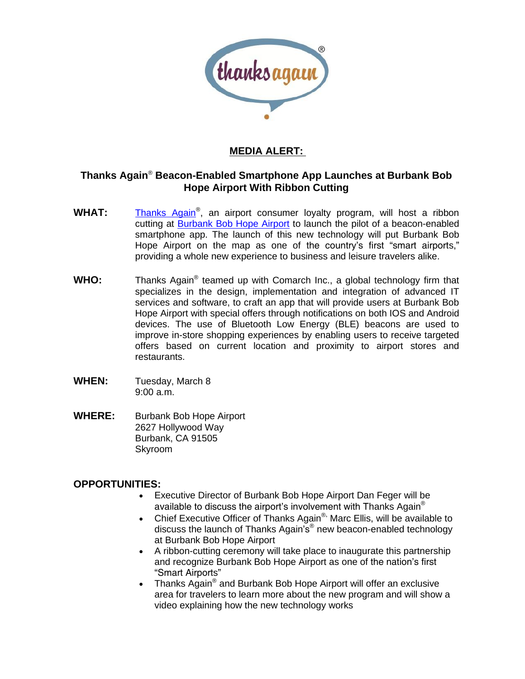

## **MEDIA ALERT:**

## **Thanks Again**[®](http://thanksagain.com/) **Beacon-Enabled Smartphone App Launches at Burbank Bob Hope Airport With Ribbon Cutting**

- WHAT: [Thanks Again](http://thanksagain.com/)[®](http://thanksagain.com/), an airport consumer loyalty program, will host a ribbon cutting at [Burbank Bob Hope Airport](http://bobhopeairport.com/) to launch the pilot of a beacon-enabled smartphone app. The launch of this new technology will put Burbank Bob Hope Airport on the map as one of the country's first "smart airports," providing a whole new experience to business and leisure travelers alike.
- WHO: Thanks Again<sup>[®](http://thanksagain.com/)</sup> teamed up with Comarch Inc., a global technology firm that specializes in the design, implementation and integration of advanced IT services and software, to craft an app that will provide users at Burbank Bob Hope Airport with special offers through notifications on both IOS and Android devices. The use of Bluetooth Low Energy (BLE) beacons are used to improve in-store shopping experiences by enabling users to receive targeted offers based on current location and proximity to airport stores and restaurants.
- **WHEN:** Tuesday, March 8 9:00 a.m.
- **WHERE:** Burbank Bob Hope Airport 2627 Hollywood Way Burbank, CA 91505 Skyroom

## **OPPORTUNITIES:**

- Executive Director of Burbank Bob Hope Airport Dan Feger will be available to discuss the airport's involvement with Thanks Again[®](http://thanksagain.com/)
- Chief Executive Officer of Thanks Again[®](http://thanksagain.com/), Marc Ellis, will be available to discuss the launch of Thanks Again's[®](http://thanksagain.com/) new beacon-enabled technology at Burbank Bob Hope Airport
- A ribbon-cutting ceremony will take place to inaugurate this partnership and recognize Burbank Bob Hope Airport as one of the nation's first "Smart Airports"
- Thanks Again<sup>[®](http://thanksagain.com/)</sup> and Burbank Bob Hope Airport will offer an exclusive area for travelers to learn more about the new program and will show a video explaining how the new technology works